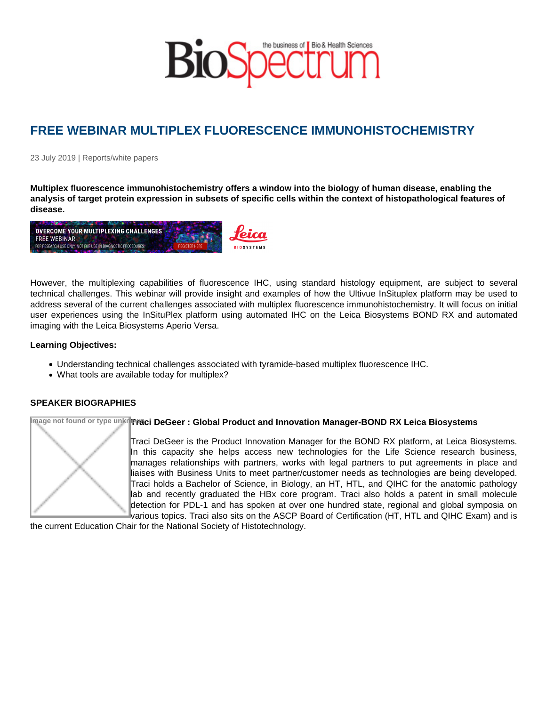## FREE WEBINAR MULTIPLEX FLUORESCENCE IMMUNOHISTOCHEMISTRY

23 July 2019 | Reports/white papers

Multiplex fluorescence immunohistochemistry offers a window into the biology of human disease, enabling the analysis of target protein expression in subsets of specific cells within the context of histopathological features of disease.

However, the multiplexing capabilities of fluorescence IHC, using standard histology equipment, are subject to several technical challenges. This webinar will provide insight and examples of how the Ultivue InSituplex platform may be used to address several of the current challenges associated with multiplex fluorescence immunohistochemistry. It will focus on initial user experiences using the InSituPlex platform using automated IHC on the Leica Biosystems BOND RX and automated imaging with the Leica Biosystems Aperio Versa.

Learning Objectives:

- Understanding technical challenges associated with tyramide-based multiplex fluorescence IHC.
- What tools are available today for multiplex?

## SPEAKER BIOGRAPHIES

Image not found or type unknowTraci DeGeer: Global Product and Innovation Manager-BOND RX Leica Biosystems

Traci DeGeer is the Product Innovation Manager for the BOND RX platform, at Leica Biosystems. In this capacity she helps access new technologies for the Life Science research business, manages relationships with partners, works with legal partners to put agreements in place and liaises with Business Units to meet partner/customer needs as technologies are being developed. Traci holds a Bachelor of Science, in Biology, an HT, HTL, and QIHC for the anatomic pathology lab and recently graduated the HBx core program. Traci also holds a patent in small molecule detection for PDL-1 and has spoken at over one hundred state, regional and global symposia on various topics. Traci also sits on the ASCP Board of Certification (HT, HTL and QIHC Exam) and is

the current Education Chair for the National Society of Histotechnology.